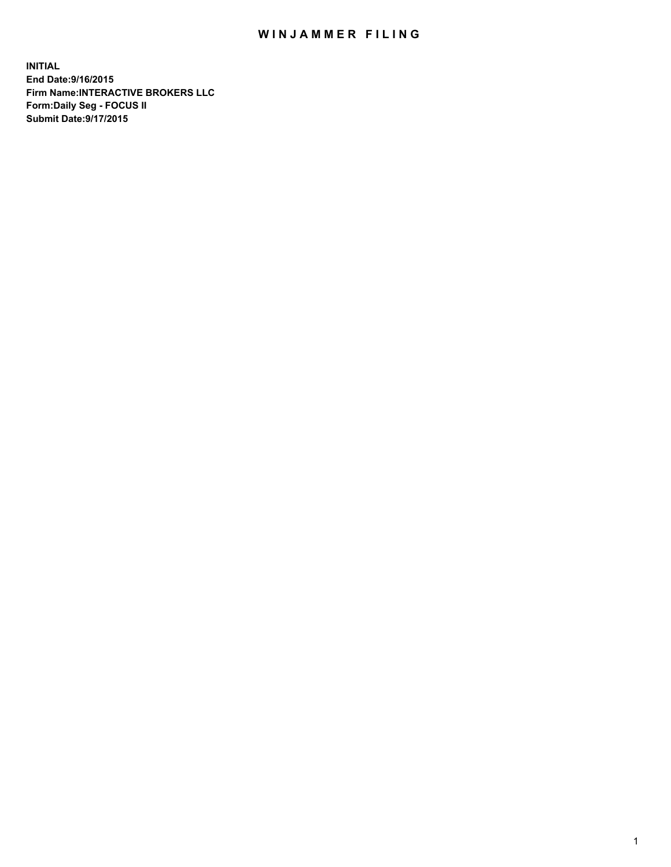## WIN JAMMER FILING

**INITIAL End Date:9/16/2015 Firm Name:INTERACTIVE BROKERS LLC Form:Daily Seg - FOCUS II Submit Date:9/17/2015**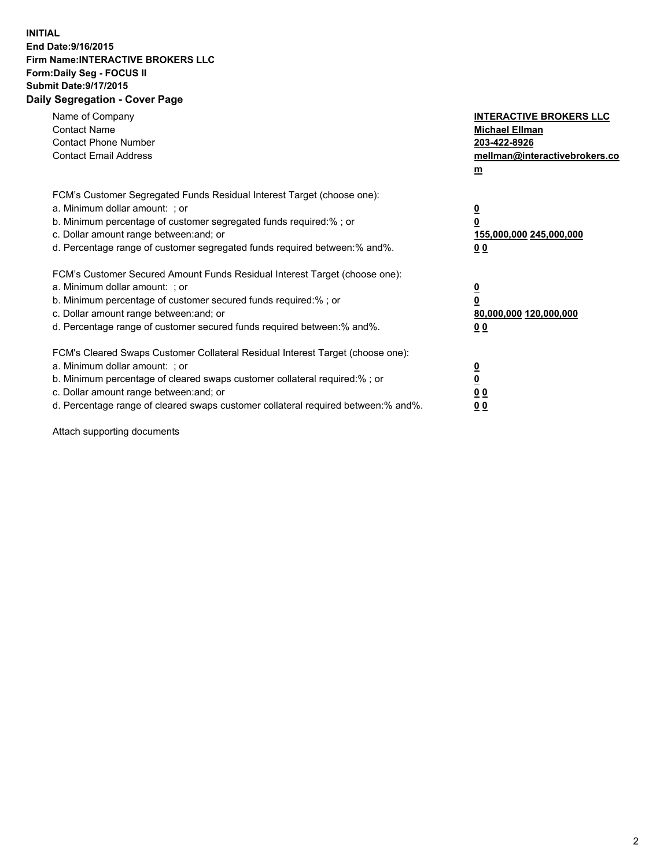## **INITIAL End Date:9/16/2015 Firm Name:INTERACTIVE BROKERS LLC Form:Daily Seg - FOCUS II Submit Date:9/17/2015 Daily Segregation - Cover Page**

| Name of Company<br><b>Contact Name</b><br><b>Contact Phone Number</b><br><b>Contact Email Address</b>                                                                                                                                                                                                                          | <b>INTERACTIVE BROKERS LLC</b><br><b>Michael Ellman</b><br>203-422-8926<br>mellman@interactivebrokers.co<br>$\mathbf{m}$ |
|--------------------------------------------------------------------------------------------------------------------------------------------------------------------------------------------------------------------------------------------------------------------------------------------------------------------------------|--------------------------------------------------------------------------------------------------------------------------|
| FCM's Customer Segregated Funds Residual Interest Target (choose one):<br>a. Minimum dollar amount: ; or<br>b. Minimum percentage of customer segregated funds required:% ; or<br>c. Dollar amount range between: and; or<br>d. Percentage range of customer segregated funds required between:% and%.                         | $\overline{\mathbf{0}}$<br>0<br>155,000,000 245,000,000<br><u>00</u>                                                     |
| FCM's Customer Secured Amount Funds Residual Interest Target (choose one):<br>a. Minimum dollar amount: ; or<br>b. Minimum percentage of customer secured funds required:%; or<br>c. Dollar amount range between: and; or<br>d. Percentage range of customer secured funds required between:% and%.                            | $\overline{\mathbf{0}}$<br>$\mathbf 0$<br>80,000,000 120,000,000<br>0 <sub>0</sub>                                       |
| FCM's Cleared Swaps Customer Collateral Residual Interest Target (choose one):<br>a. Minimum dollar amount: ; or<br>b. Minimum percentage of cleared swaps customer collateral required:% ; or<br>c. Dollar amount range between: and; or<br>d. Percentage range of cleared swaps customer collateral required between:% and%. | $\overline{\mathbf{0}}$<br>$\overline{\mathbf{0}}$<br>0 <sub>0</sub><br>0 <sub>0</sub>                                   |

Attach supporting documents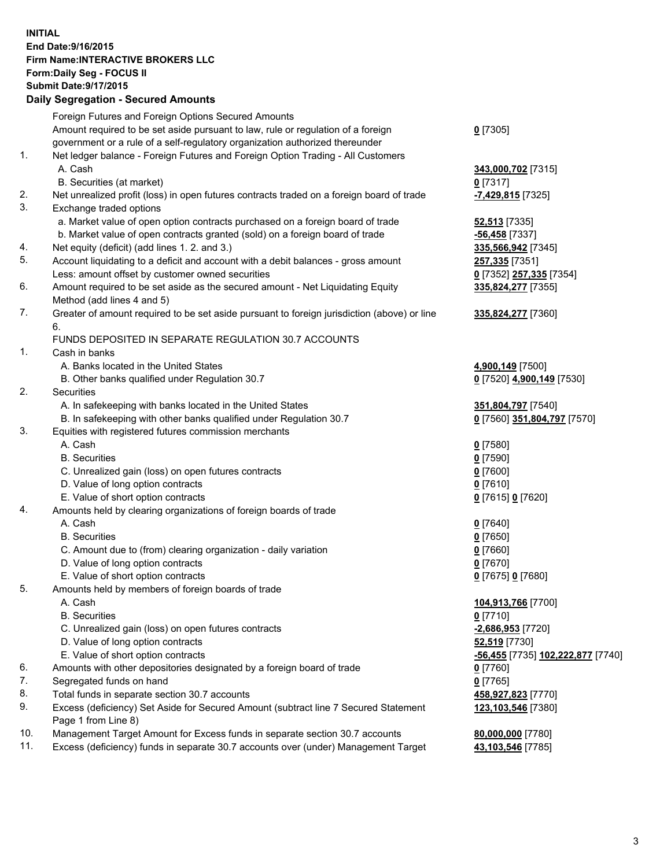## **INITIAL End Date:9/16/2015 Firm Name:INTERACTIVE BROKERS LLC Form:Daily Seg - FOCUS II Submit Date:9/17/2015 Daily Segregation - Secured Amounts**

|     | Dany Ocgregation - Oceanea Annoanta                                                         |                                   |
|-----|---------------------------------------------------------------------------------------------|-----------------------------------|
|     | Foreign Futures and Foreign Options Secured Amounts                                         |                                   |
|     | Amount required to be set aside pursuant to law, rule or regulation of a foreign            | $0$ [7305]                        |
|     | government or a rule of a self-regulatory organization authorized thereunder                |                                   |
| 1.  | Net ledger balance - Foreign Futures and Foreign Option Trading - All Customers             |                                   |
|     | A. Cash                                                                                     | 343,000,702 [7315]                |
|     | B. Securities (at market)                                                                   | $0$ [7317]                        |
| 2.  | Net unrealized profit (loss) in open futures contracts traded on a foreign board of trade   | -7,429,815 [7325]                 |
| 3.  | Exchange traded options                                                                     |                                   |
|     | a. Market value of open option contracts purchased on a foreign board of trade              | <b>52,513</b> [7335]              |
|     | b. Market value of open contracts granted (sold) on a foreign board of trade                | -56,458 [7337]                    |
| 4.  | Net equity (deficit) (add lines 1.2. and 3.)                                                | 335,566,942 <sup>[7345]</sup>     |
| 5.  | Account liquidating to a deficit and account with a debit balances - gross amount           | 257,335 [7351]                    |
|     | Less: amount offset by customer owned securities                                            | 0 [7352] 257,335 [7354]           |
| 6.  | Amount required to be set aside as the secured amount - Net Liquidating Equity              | 335,824,277 [7355]                |
|     | Method (add lines 4 and 5)                                                                  |                                   |
| 7.  | Greater of amount required to be set aside pursuant to foreign jurisdiction (above) or line | 335,824,277 [7360]                |
|     | 6.                                                                                          |                                   |
|     | FUNDS DEPOSITED IN SEPARATE REGULATION 30.7 ACCOUNTS                                        |                                   |
| 1.  | Cash in banks                                                                               |                                   |
|     | A. Banks located in the United States                                                       | 4,900,149 [7500]                  |
|     | B. Other banks qualified under Regulation 30.7                                              | 0 [7520] 4,900,149 [7530]         |
| 2.  | Securities                                                                                  |                                   |
|     | A. In safekeeping with banks located in the United States                                   | 351,804,797 [7540]                |
|     | B. In safekeeping with other banks qualified under Regulation 30.7                          | 0 [7560] 351,804,797 [7570]       |
| 3.  | Equities with registered futures commission merchants                                       |                                   |
|     | A. Cash                                                                                     | $0$ [7580]                        |
|     | <b>B.</b> Securities                                                                        | $0$ [7590]                        |
|     | C. Unrealized gain (loss) on open futures contracts                                         | $0$ [7600]                        |
|     | D. Value of long option contracts                                                           | $0$ [7610]                        |
|     | E. Value of short option contracts                                                          | 0 [7615] 0 [7620]                 |
| 4.  | Amounts held by clearing organizations of foreign boards of trade                           |                                   |
|     | A. Cash                                                                                     | $0$ [7640]                        |
|     | <b>B.</b> Securities                                                                        | $0$ [7650]                        |
|     | C. Amount due to (from) clearing organization - daily variation                             | $0$ [7660]                        |
|     | D. Value of long option contracts                                                           | $0$ [7670]                        |
|     | E. Value of short option contracts                                                          | 0 [7675] 0 [7680]                 |
| 5.  | Amounts held by members of foreign boards of trade                                          |                                   |
|     | A. Cash                                                                                     | 104,913,766 [7700]                |
|     | <b>B.</b> Securities                                                                        | $0$ [7710]                        |
|     | C. Unrealized gain (loss) on open futures contracts                                         | -2,686,953 [7720]                 |
|     | D. Value of long option contracts                                                           | 52,519 [7730]                     |
|     | E. Value of short option contracts                                                          | -56,455 [7735] 102,222,877 [7740] |
| 6.  | Amounts with other depositories designated by a foreign board of trade                      | $0$ [7760]                        |
| 7.  | Segregated funds on hand                                                                    | $0$ [7765]                        |
| 8.  | Total funds in separate section 30.7 accounts                                               | 458,927,823 [7770]                |
| 9.  | Excess (deficiency) Set Aside for Secured Amount (subtract line 7 Secured Statement         | 123,103,546 [7380]                |
|     | Page 1 from Line 8)                                                                         |                                   |
| 10. | Management Target Amount for Excess funds in separate section 30.7 accounts                 | 80,000,000 [7780]                 |
| 11. | Excess (deficiency) funds in separate 30.7 accounts over (under) Management Target          | 43,103,546 [7785]                 |
|     |                                                                                             |                                   |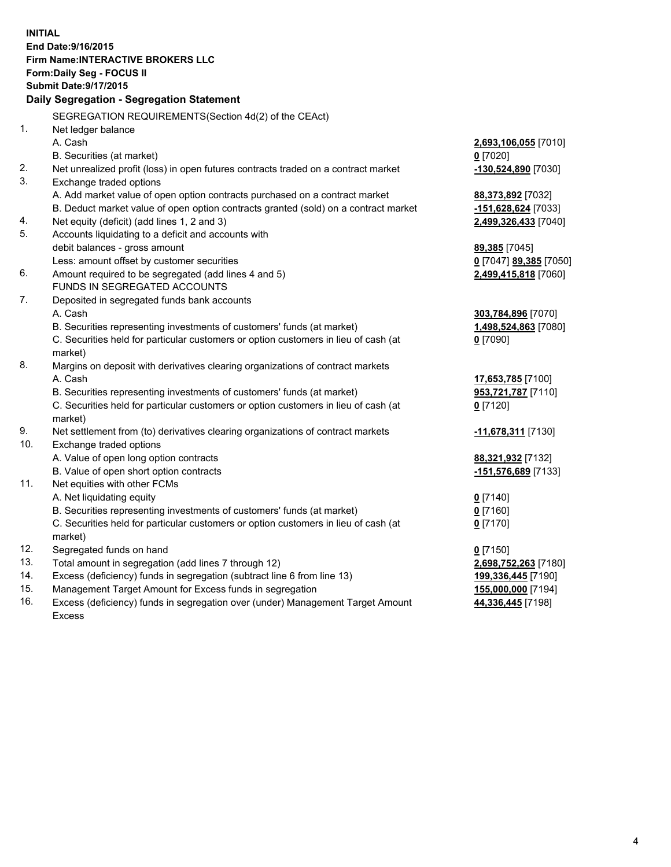**INITIAL End Date:9/16/2015 Firm Name:INTERACTIVE BROKERS LLC Form:Daily Seg - FOCUS II Submit Date:9/17/2015 Daily Segregation - Segregation Statement** SEGREGATION REQUIREMENTS(Section 4d(2) of the CEAct) 1. Net ledger balance A. Cash **2,693,106,055** [7010] B. Securities (at market) **0** [7020] 2. Net unrealized profit (loss) in open futures contracts traded on a contract market **-130,524,890** [7030] 3. Exchange traded options A. Add market value of open option contracts purchased on a contract market **88,373,892** [7032] B. Deduct market value of open option contracts granted (sold) on a contract market **-151,628,624** [7033] 4. Net equity (deficit) (add lines 1, 2 and 3) **2,499,326,433** [7040] 5. Accounts liquidating to a deficit and accounts with debit balances - gross amount **89,385** [7045] Less: amount offset by customer securities **0** [7047] **89,385** [7050] 6. Amount required to be segregated (add lines 4 and 5) **2,499,415,818** [7060] FUNDS IN SEGREGATED ACCOUNTS 7. Deposited in segregated funds bank accounts A. Cash **303,784,896** [7070] B. Securities representing investments of customers' funds (at market) **1,498,524,863** [7080] C. Securities held for particular customers or option customers in lieu of cash (at market) **0** [7090] 8. Margins on deposit with derivatives clearing organizations of contract markets A. Cash **17,653,785** [7100] B. Securities representing investments of customers' funds (at market) **953,721,787** [7110] C. Securities held for particular customers or option customers in lieu of cash (at market) **0** [7120] 9. Net settlement from (to) derivatives clearing organizations of contract markets **-11,678,311** [7130] 10. Exchange traded options A. Value of open long option contracts **88,321,932** [7132] B. Value of open short option contracts **-151,576,689** [7133] 11. Net equities with other FCMs A. Net liquidating equity **0** [7140] B. Securities representing investments of customers' funds (at market) **0** [7160] C. Securities held for particular customers or option customers in lieu of cash (at market) **0** [7170] 12. Segregated funds on hand **0** [7150] 13. Total amount in segregation (add lines 7 through 12) **2,698,752,263** [7180] 14. Excess (deficiency) funds in segregation (subtract line 6 from line 13) **199,336,445** [7190] 15. Management Target Amount for Excess funds in segregation **155,000,000** [7194] 16. Excess (deficiency) funds in segregation over (under) Management Target Amount **44,336,445** [7198]

Excess